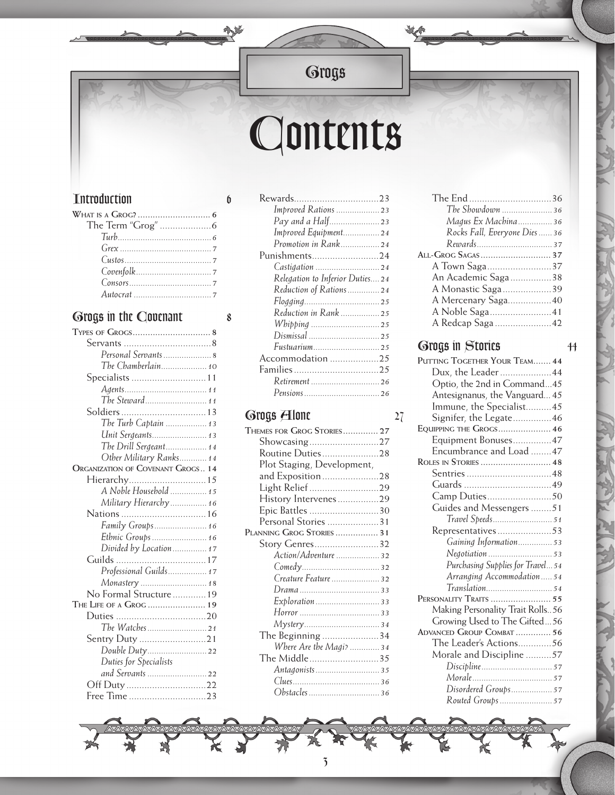# *Grogs*

动产

**CALL ON** 

# *Contents*

#### *Introduction 6*

| $G$ rex $\ldots$ $7$ |  |
|----------------------|--|
|                      |  |
|                      |  |
|                      |  |
|                      |  |
|                      |  |

#### *Grogs in the Covenant 8*

| Personal Servants  8                     |  |
|------------------------------------------|--|
| The Chamberlain 10                       |  |
| Specialists  11                          |  |
|                                          |  |
| The Steward 11                           |  |
|                                          |  |
| The Turb Captain  13                     |  |
| Unit Sergeants 13                        |  |
| The Drill Sergeant 14                    |  |
| Other Military Ranks 14                  |  |
| <b>ORGANIZATION OF COVENANT GROGS 14</b> |  |
| Hierarchy 15                             |  |
| A Noble Household  15                    |  |
| Military Hierarchy  16                   |  |
|                                          |  |
| Family Groups 16                         |  |
| Ethnic Groups 16                         |  |
| Divided by Location 17                   |  |
| Guilds                                   |  |
| Professional Guilds 17                   |  |
| Monastery  18                            |  |
| No Formal Structure  19                  |  |
| THE LIFE OF A GROG  19                   |  |
|                                          |  |
| The Watches21                            |  |
| Sentry Duty 21                           |  |
| Double Duty22                            |  |
| Duties for Specialists                   |  |
| and Servants  22                         |  |
|                                          |  |
| Free Time 23                             |  |

芗

| Improved Rations  23             |  |
|----------------------------------|--|
| Pay and a Half 23                |  |
| Improved Equipment 24            |  |
| Promotion in Rank 24             |  |
| Punishments24                    |  |
|                                  |  |
| Relegation to Inferior Duties 24 |  |
| Reduction of Rations 24          |  |
|                                  |  |
| Reduction in Rank  25            |  |
|                                  |  |
|                                  |  |
| Fustuarium 25                    |  |
| Accommodation 25                 |  |
|                                  |  |
| Retirement  26                   |  |
| Pensions  26                     |  |
|                                  |  |

#### *Grogs Alone 27*

| THEMES FOR GROG STORIES 27 |
|----------------------------|
|                            |
| Routine Duties28           |
| Plot Staging, Development, |
| and Exposition28           |
| Light Relief 29            |
| History Intervenes29       |
| Epic Battles 30            |
| Personal Stories 31        |
| PLANNING GROG STORIES  31  |
| Story Genres32             |
| Action/Adventure  32       |
|                            |
| Creature Feature  32       |
|                            |
|                            |
|                            |
|                            |
| The Beginning 34           |
| Where Are the Magi?  34    |
| The Middle35               |
|                            |
|                            |
| Obstacles  36              |

*3*

| The Showdown  36            |  |
|-----------------------------|--|
| Magus Ex Machina 36         |  |
| Rocks Fall, Everyone Dies36 |  |
|                             |  |
|                             |  |
| A Town Saga37               |  |
| An Academic Saga38          |  |
| A Monastic Saga39           |  |
| A Mercenary Saga40          |  |
| A Noble Saga41              |  |
| A Redcap Saga42             |  |
|                             |  |

#### *Grogs in Stories 44*

| PUTTING TOGETHER YOUR TEAM 44     |
|-----------------------------------|
| Dux, the Leader44                 |
| Optio, the 2nd in Command45       |
| Antesignanus, the Vanguard 45     |
| Immune, the Specialist45          |
| Signifer, the Legate46            |
| EQUIPPING THE GROGS 46            |
| Equipment Bonuses 47              |
| Encumbrance and Load 47           |
| ROLES IN STORIES  48              |
|                                   |
|                                   |
|                                   |
| Guides and Messengers 51          |
|                                   |
| Representatives53                 |
| Gaining Information 53            |
|                                   |
| Purchasing Supplies for Travel 54 |
| Arranging Accommodation 54        |
| Translation 54                    |
|                                   |
| Making Personality Trait Rolls56  |
| Growing Used to The Gifted56      |
| ADVANCED GROUP COMBAT  56         |
| The Leader's Actions56            |
| Morale and Discipline 57          |
|                                   |
|                                   |
| Disordered Groups 57              |
| Routed Groups  57                 |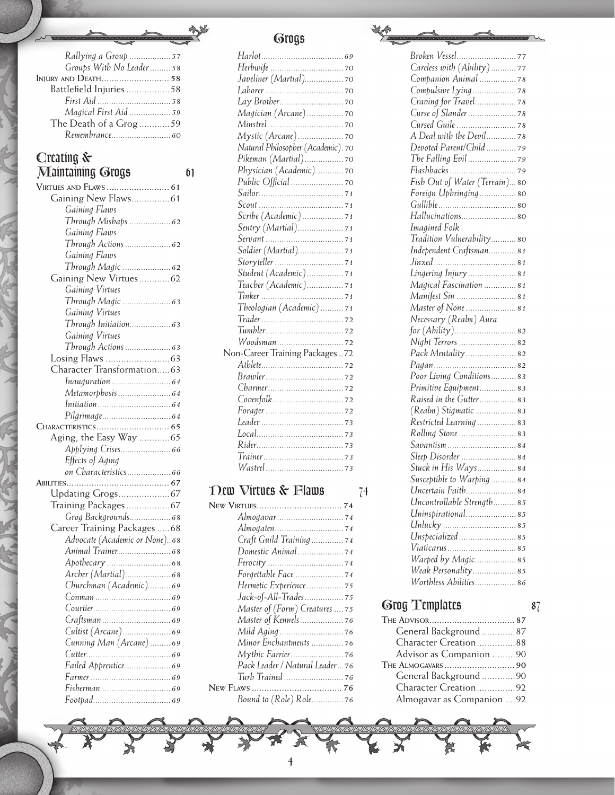| Rallying a Group  57          |    |
|-------------------------------|----|
| Groups With No Leader  58     |    |
| INJURY AND DEATH 58           |    |
| Battlefield Injuries 58       |    |
|                               |    |
| Magical First Aid  59         |    |
| The Death of a Grog59         |    |
| Remembrance 60                |    |
|                               |    |
| Creating $\&$                 |    |
| <b>Maintaining Grogs</b>      | 61 |
|                               |    |
|                               |    |
| Gaining New Flaws 61          |    |
| Gaining Flaws                 |    |
|                               |    |
| Gaining Flaws                 |    |
|                               |    |
| Gaining Flaws                 |    |
|                               |    |
| Gaining New Virtues62         |    |
| Gaining Virtues               |    |
| Through Magic  63             |    |
| Gaining Virtues               |    |
|                               |    |
| Gaining Virtues               |    |
| Through Actions  63           |    |
|                               |    |
| Character Transformation63    |    |
|                               |    |
|                               |    |
|                               |    |
|                               |    |
|                               |    |
| Aging, the Easy Way  65       |    |
|                               |    |
| Effects of Aging              |    |
| on Characteristics 66         |    |
|                               |    |
|                               |    |
| Training Packages67           |    |
| Grog Backgrounds 68           |    |
| Career Training Packages  68  |    |
| Advocate (Academic or None)68 |    |
|                               |    |
|                               |    |
|                               |    |
| Churchman (Academic) 69       |    |
|                               |    |
|                               |    |
|                               |    |
| Cultist (Arcane) 69           |    |
| Cunning Man (Arcane) 69       |    |
|                               |    |
| Failed Apprentice 69          |    |
|                               |    |
|                               |    |
|                               |    |
|                               |    |

## *Grogs*

办

| Magician (Arcane) 70               |
|------------------------------------|
|                                    |
|                                    |
| Natural Philosopher (Academic). 70 |
| Pikeman (Martial) 70               |
| Physician (Academic) 70            |
|                                    |
|                                    |
|                                    |
| Scribe (Academic) 71               |
|                                    |
|                                    |
| Soldier (Martial) 71               |
|                                    |
| Student (Academic) 71              |
| Teacher (Academic) 71              |
|                                    |
| Theologian (Academic)71            |
|                                    |
|                                    |
|                                    |
| Non-Career Training Packages 72    |
|                                    |
|                                    |
|                                    |
|                                    |
|                                    |
|                                    |
|                                    |
|                                    |
|                                    |
|                                    |

# *New Virtues & Flaws 74*

| Almogavar 74                   |
|--------------------------------|
|                                |
| Craft Guild Training  74       |
|                                |
|                                |
|                                |
| Hermetic Experience  75        |
| Jack-of-All-Trades75           |
| Master of (Form) Creatures  75 |
| Master of Kennels 76           |
|                                |
| Minor Enchantments  76         |
|                                |
| Pack Leader / Natural Leader76 |
|                                |
|                                |
| Bound to (Role) Role 76        |
|                                |

*4*

| Careless with (Ability)77      |
|--------------------------------|
|                                |
|                                |
|                                |
| Curse of Slander  78           |
|                                |
| A Deal with the Devil 78       |
| Devoted Parent/Child  79       |
|                                |
|                                |
| Fish Out of Water (Terrain) 80 |
| Foreign Upbringing 80          |
|                                |
| Hallucinations 80              |
| Imagined Folk                  |
| Tradition Vulnerability80      |
| Independent Craftsman 81       |
|                                |
| Lingering Injury  81           |
| Magical Fascination  81        |
| Manifest Sin  81               |
| Master of None  81             |
| Necessary (Realm) Aura         |
| for (Ability) 82               |
| Night Terrors  82              |
| Pack Mentality  82             |
|                                |
| Poor Living Conditions 83      |
| Primitive Equipment 83         |
| Raised in the Gutter 83        |
| (Realm) Stigmatic  83          |
| Restricted Learning  83        |
| Rolling Stone  83              |
| Savantism  84                  |
| Sleep Disorder  84             |
| Stuck in His Ways 84           |
| Susceptible to Warping84       |
| Uncertain Faith 84             |
| Uncontrollable Strength85      |
| Uninspirational 85             |
|                                |
| Unspecialized 85               |
| Viaticarus  85                 |
| Warped by Magic 85             |
| Weak Personality 85            |
| Worthless Abilities 86         |
|                                |

#### *Grog Templates 87*

| General Background 87     |  |
|---------------------------|--|
| Character Creation88      |  |
| Advisor as Companion 90   |  |
| THE ALMOGAVARS  90        |  |
| General Background 90     |  |
| Character Creation92      |  |
| Almogavar as Companion 92 |  |
|                           |  |